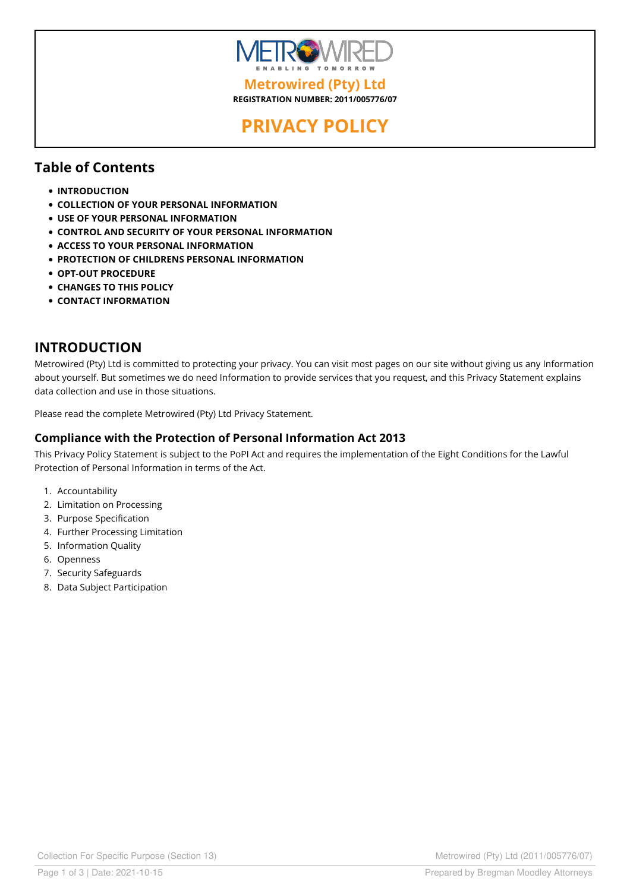

**REGISTRATION NUMBER: 2011/005776/07**

# **PRIVACY POLICY**

#### **Table of Contents**

- **INTRODUCTION**
- **COLLECTION OF YOUR PERSONAL INFORMATION**
- **USE OF YOUR PERSONAL INFORMATION**
- **CONTROL AND SECURITY OF YOUR PERSONAL INFORMATION**
- **ACCESS TO YOUR PERSONAL INFORMATION**
- **PROTECTION OF CHILDRENS PERSONAL INFORMATION**
- **OPT-OUT PROCEDURE**
- **CHANGES TO THIS POLICY**
- **CONTACT INFORMATION**

#### **INTRODUCTION**

Metrowired (Pty) Ltd is committed to protecting your privacy. You can visit most pages on our site without giving us any Information about yourself. But sometimes we do need Information to provide services that you request, and this Privacy Statement explains data collection and use in those situations.

Please read the complete Metrowired (Pty) Ltd Privacy Statement.

#### **Compliance with the Protection of Personal Information Act 2013**

This Privacy Policy Statement is subject to the PoPI Act and requires the implementation of the Eight Conditions for the Lawful Protection of Personal Information in terms of the Act.

- 1. Accountability
- 2. Limitation on Processing
- 3. Purpose Specification
- 4. Further Processing Limitation
- 5. Information Quality
- 6. Openness
- 7. Security Safeguards
- 8. Data Subject Participation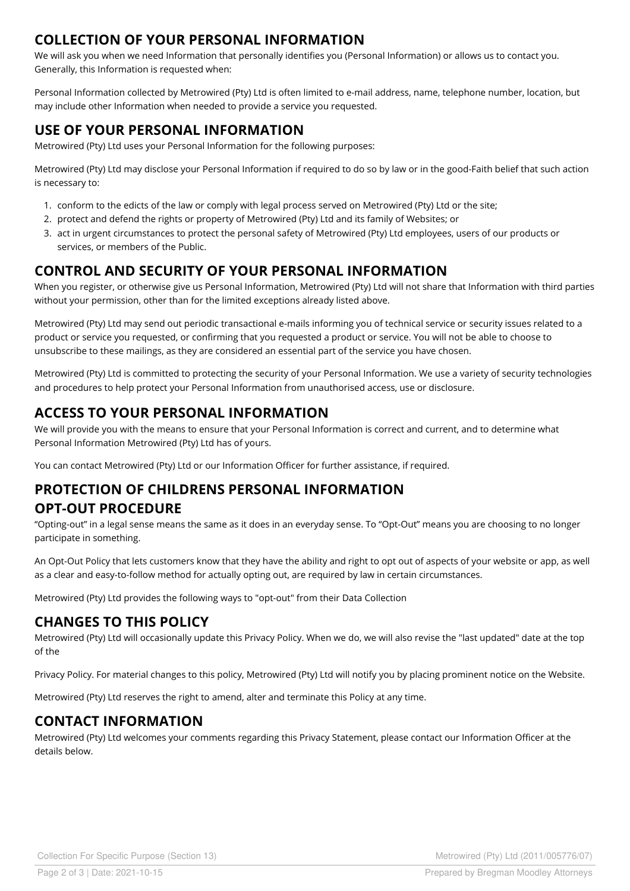#### **COLLECTION OF YOUR PERSONAL INFORMATION**

We will ask you when we need Information that personally identifies you (Personal Information) or allows us to contact you. Generally, this Information is requested when:

Personal Information collected by Metrowired (Pty) Ltd is often limited to e-mail address, name, telephone number, location, but may include other Information when needed to provide a service you requested.

# **USE OF YOUR PERSONAL INFORMATION**

Metrowired (Pty) Ltd uses your Personal Information for the following purposes:

Metrowired (Pty) Ltd may disclose your Personal Information ifrequired to do so by law or in the good-Faith belief that such action is necessary to:

- 1. conform to the edicts of the law or comply with legal process served on Metrowired (Pty) Ltd or the site;
- 2. protect and defend the rights or property of Metrowired (Pty) Ltd and its family of Websites; or
- 3. act in urgent circumstances to protect the personal safety of Metrowired (Pty) Ltd employees, users of our products or services, or members of the Public.

#### **CONTROL AND SECURITY OF YOUR PERSONAL INFORMATION**

When you register, or otherwise give us Personal Information, Metrowired (Pty) Ltd will not share that Information with third parties without your permission, other than for the limited exceptions already listed above.

Metrowired (Pty) Ltd may send out periodic transactional e-mails informing you of technical service or security issues related to a product or service you requested, or confirming that you requested a product or service. You will not be able to choose to unsubscribe to these mailings, as they are considered an essential part of the service you have chosen.

Metrowired (Pty) Ltd is committed to protecting the security of your Personal Information. We use a variety of security technologies and procedures to help protect your Personal Information from unauthorised access, use or disclosure.

#### **ACCESS TO YOUR PERSONAL INFORMATION**

We will provide you with the means to ensure that your Personal Information is correct and current, and to determine what Personal Information Metrowired (Pty) Ltd has of yours.

You can contact Metrowired (Pty) Ltd or our Information Officer for further assistance, if required.

# **PROTECTION OF CHILDRENS PERSONAL INFORMATION OPT-OUT PROCEDURE**

"Opting-out" in a legal sense means the same as it does in an everyday sense. To "Opt-Out" means you are choosing to no longer participate in something.

An Opt-Out Policy that lets customers know that they have the ability and right to opt out of aspects of your website or app, as well as a clear and easy-to-follow method for actually opting out, are required by law in certain circumstances.

Metrowired (Pty) Ltd provides the following ways to "opt-out" from their Data Collection

# **CHANGES TO THIS POLICY**

Metrowired (Pty) Ltd will occasionally update this Privacy Policy. When we do, we will also revise the "last updated" date at the top of the

Privacy Policy. For material changes to this policy, Metrowired (Pty) Ltd will notify you by placing prominent notice on the Website.

Metrowired (Pty) Ltd reserves the right to amend, alter and terminate this Policy at any time.

# **CONTACT INFORMATION**

Metrowired (Pty) Ltd welcomes your comments regarding this Privacy Statement, please contact our Information Officer at the details below.